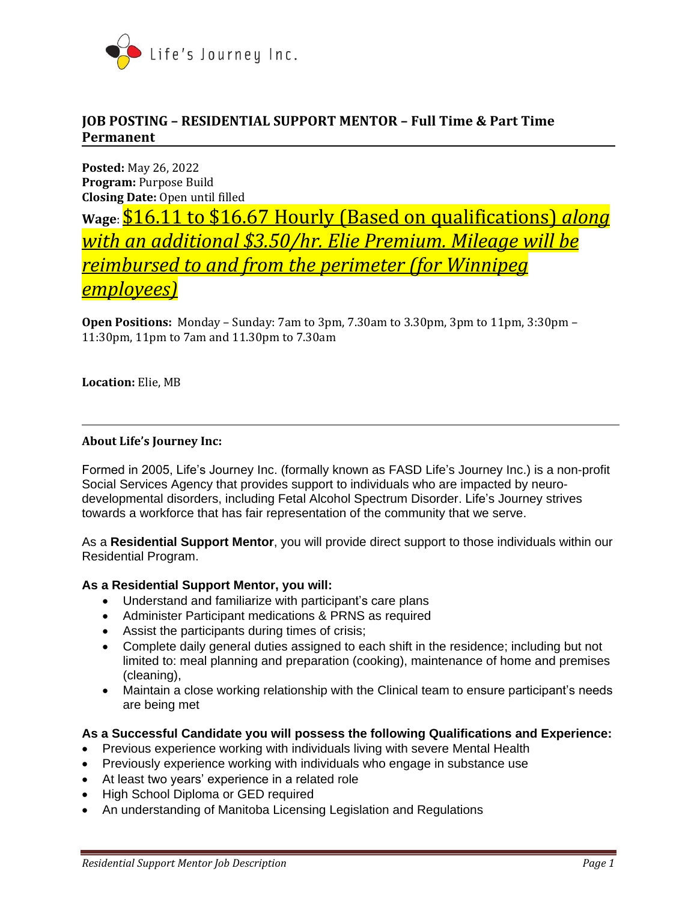

# **JOB POSTING – RESIDENTIAL SUPPORT MENTOR – Full Time & Part Time Permanent**

**Posted:** May 26, 2022 **Program:** Purpose Build **Closing Date:** Open until filled

**Wage**: \$16.11 to \$16.67 Hourly (Based on qualifications) *along with an additional \$3.50/hr. Elie Premium. Mileage will be reimbursed to and from the perimeter (for Winnipeg employees)*

**Open Positions:** Monday – Sunday: 7am to 3pm, 7.30am to 3.30pm, 3pm to 11pm, 3:30pm – 11:30pm, 11pm to 7am and 11.30pm to 7.30am

**Location:** Elie, MB

## **About Life's Journey Inc:**

Formed in 2005, Life's Journey Inc. (formally known as FASD Life's Journey Inc.) is a non-profit Social Services Agency that provides support to individuals who are impacted by neurodevelopmental disorders, including Fetal Alcohol Spectrum Disorder. Life's Journey strives towards a workforce that has fair representation of the community that we serve.

As a **Residential Support Mentor**, you will provide direct support to those individuals within our Residential Program.

#### **As a Residential Support Mentor, you will:**

- Understand and familiarize with participant's care plans
- Administer Participant medications & PRNS as required
- Assist the participants during times of crisis;
- Complete daily general duties assigned to each shift in the residence; including but not limited to: meal planning and preparation (cooking), maintenance of home and premises (cleaning),
- Maintain a close working relationship with the Clinical team to ensure participant's needs are being met

#### **As a Successful Candidate you will possess the following Qualifications and Experience:**

- Previous experience working with individuals living with severe Mental Health
- Previously experience working with individuals who engage in substance use
- At least two years' experience in a related role
- High School Diploma or GED required
- An understanding of Manitoba Licensing Legislation and Regulations